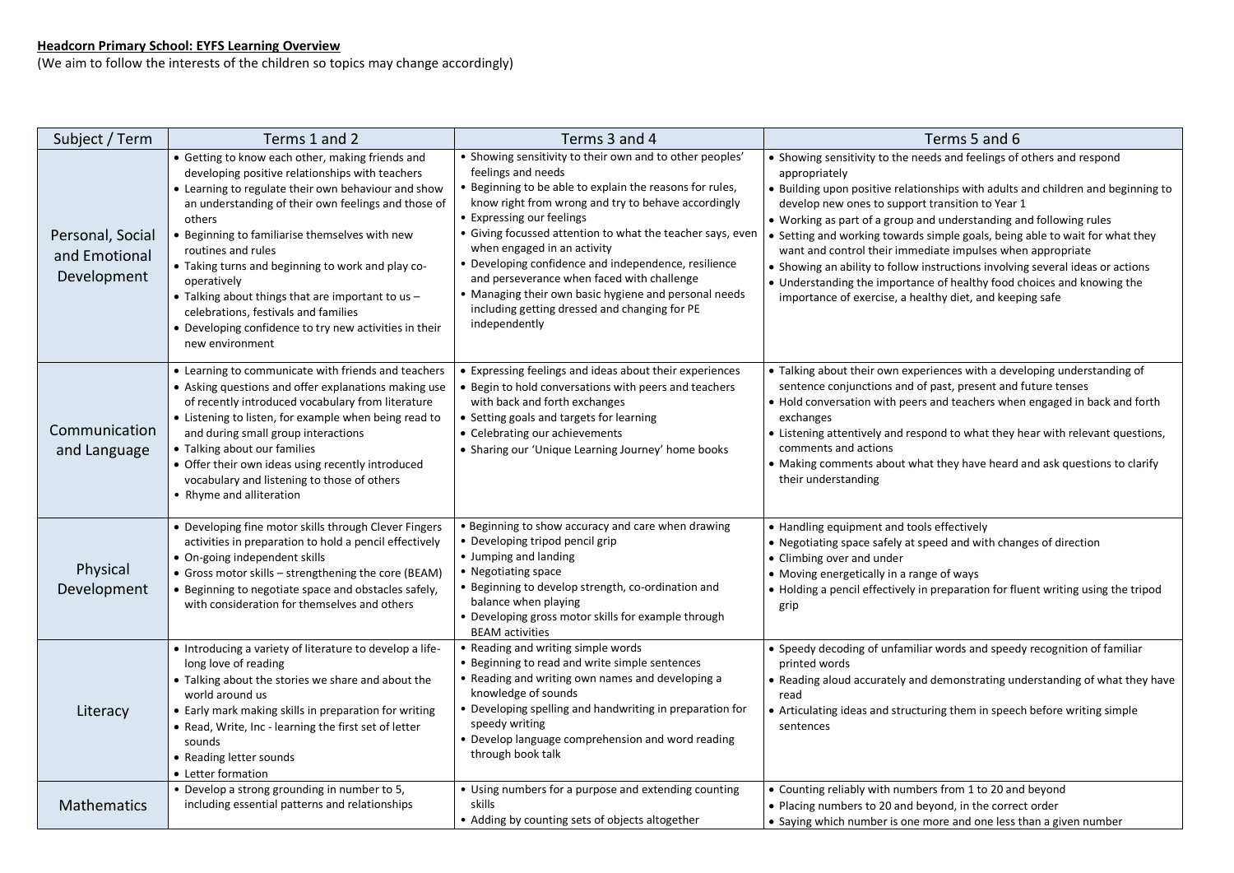## **Headcorn Primary School: EYFS Learning Overview**

(We aim to follow the interests of the children so topics may change accordingly)

| Subject / Term                                   | Terms 1 and 2                                                                                                                                                                                                                                                                                                                                                                                                                                                                                                                                     | Terms 3 and 4                                                                                                                                                                                                                                                                                                                                                                                                                                                                                                                                                | Terms 5 and 6                                                                                                                                                                                                                                                                                                                                                                                                                                                                                                                                                                |
|--------------------------------------------------|---------------------------------------------------------------------------------------------------------------------------------------------------------------------------------------------------------------------------------------------------------------------------------------------------------------------------------------------------------------------------------------------------------------------------------------------------------------------------------------------------------------------------------------------------|--------------------------------------------------------------------------------------------------------------------------------------------------------------------------------------------------------------------------------------------------------------------------------------------------------------------------------------------------------------------------------------------------------------------------------------------------------------------------------------------------------------------------------------------------------------|------------------------------------------------------------------------------------------------------------------------------------------------------------------------------------------------------------------------------------------------------------------------------------------------------------------------------------------------------------------------------------------------------------------------------------------------------------------------------------------------------------------------------------------------------------------------------|
| Personal, Social<br>and Emotional<br>Development | • Getting to know each other, making friends and<br>developing positive relationships with teachers<br>• Learning to regulate their own behaviour and show<br>an understanding of their own feelings and those of<br>others<br>• Beginning to familiarise themselves with new<br>routines and rules<br>• Taking turns and beginning to work and play co-<br>operatively<br>• Talking about things that are important to us -<br>celebrations, festivals and families<br>• Developing confidence to try new activities in their<br>new environment | • Showing sensitivity to their own and to other peoples'<br>feelings and needs<br>• Beginning to be able to explain the reasons for rules,<br>know right from wrong and try to behave accordingly<br>• Expressing our feelings<br>• Giving focussed attention to what the teacher says, even<br>when engaged in an activity<br>• Developing confidence and independence, resilience<br>and perseverance when faced with challenge<br>• Managing their own basic hygiene and personal needs<br>including getting dressed and changing for PE<br>independently | • Showing sensitivity to the needs and feelings of others a<br>appropriately<br>• Building upon positive relationships with adults and child<br>develop new ones to support transition to Year 1<br>• Working as part of a group and understanding and follov<br>• Setting and working towards simple goals, being able to<br>want and control their immediate impulses when approp<br>• Showing an ability to follow instructions involving several<br>• Understanding the importance of healthy food choices a<br>importance of exercise, a healthy diet, and keeping safe |
| Communication<br>and Language                    | • Learning to communicate with friends and teachers<br>• Asking questions and offer explanations making use<br>of recently introduced vocabulary from literature<br>• Listening to listen, for example when being read to<br>and during small group interactions<br>• Talking about our families<br>• Offer their own ideas using recently introduced<br>vocabulary and listening to those of others<br>• Rhyme and alliteration                                                                                                                  | • Expressing feelings and ideas about their experiences<br>• Begin to hold conversations with peers and teachers<br>with back and forth exchanges<br>• Setting goals and targets for learning<br>• Celebrating our achievements<br>• Sharing our 'Unique Learning Journey' home books                                                                                                                                                                                                                                                                        | • Talking about their own experiences with a developing u<br>sentence conjunctions and of past, present and future to<br>• Hold conversation with peers and teachers when engage<br>exchanges<br>• Listening attentively and respond to what they hear with<br>comments and actions<br>• Making comments about what they have heard and ask<br>their understanding                                                                                                                                                                                                           |
| <b>Physical</b><br>Development                   | • Developing fine motor skills through Clever Fingers<br>activities in preparation to hold a pencil effectively<br>• On-going independent skills<br>• Gross motor skills - strengthening the core (BEAM)<br>• Beginning to negotiate space and obstacles safely,<br>with consideration for themselves and others                                                                                                                                                                                                                                  | • Beginning to show accuracy and care when drawing<br>• Developing tripod pencil grip<br>• Jumping and landing<br>• Negotiating space<br>• Beginning to develop strength, co-ordination and<br>balance when playing<br>• Developing gross motor skills for example through<br><b>BEAM</b> activities                                                                                                                                                                                                                                                         | • Handling equipment and tools effectively<br>• Negotiating space safely at speed and with changes of di<br>• Climbing over and under<br>• Moving energetically in a range of ways<br>• Holding a pencil effectively in preparation for fluent writ<br>grip                                                                                                                                                                                                                                                                                                                  |
| Literacy                                         | • Introducing a variety of literature to develop a life-<br>long love of reading<br>• Talking about the stories we share and about the<br>world around us<br>• Early mark making skills in preparation for writing<br>• Read, Write, Inc - learning the first set of letter<br>sounds<br>• Reading letter sounds<br>• Letter formation                                                                                                                                                                                                            | • Reading and writing simple words<br>• Beginning to read and write simple sentences<br>• Reading and writing own names and developing a<br>knowledge of sounds<br>• Developing spelling and handwriting in preparation for<br>speedy writing<br>• Develop language comprehension and word reading<br>through book talk                                                                                                                                                                                                                                      | • Speedy decoding of unfamiliar words and speedy recogr<br>printed words<br>• Reading aloud accurately and demonstrating understand<br>read<br>• Articulating ideas and structuring them in speech before<br>sentences                                                                                                                                                                                                                                                                                                                                                       |
| <b>Mathematics</b>                               | • Develop a strong grounding in number to 5,<br>including essential patterns and relationships                                                                                                                                                                                                                                                                                                                                                                                                                                                    | • Using numbers for a purpose and extending counting<br>skills<br>• Adding by counting sets of objects altogether                                                                                                                                                                                                                                                                                                                                                                                                                                            | • Counting reliably with numbers from 1 to 20 and beyond<br>• Placing numbers to 20 and beyond, in the correct order<br>• Saying which number is one more and one less than a git                                                                                                                                                                                                                                                                                                                                                                                            |

| Terms 5 and 6                                                                                                                                                                                                                                                                                                                                                                                                                                                                                                                                                                                                                                                              |  |  |  |  |
|----------------------------------------------------------------------------------------------------------------------------------------------------------------------------------------------------------------------------------------------------------------------------------------------------------------------------------------------------------------------------------------------------------------------------------------------------------------------------------------------------------------------------------------------------------------------------------------------------------------------------------------------------------------------------|--|--|--|--|
| • Showing sensitivity to the needs and feelings of others and respond<br>appropriately<br>. Building upon positive relationships with adults and children and beginning to<br>develop new ones to support transition to Year 1<br>• Working as part of a group and understanding and following rules<br>• Setting and working towards simple goals, being able to wait for what they<br>want and control their immediate impulses when appropriate<br>• Showing an ability to follow instructions involving several ideas or actions<br>• Understanding the importance of healthy food choices and knowing the<br>importance of exercise, a healthy diet, and keeping safe |  |  |  |  |
| • Talking about their own experiences with a developing understanding of<br>sentence conjunctions and of past, present and future tenses<br>• Hold conversation with peers and teachers when engaged in back and forth<br>exchanges<br>• Listening attentively and respond to what they hear with relevant questions,<br>comments and actions<br>• Making comments about what they have heard and ask questions to clarify<br>their understanding                                                                                                                                                                                                                          |  |  |  |  |
| • Handling equipment and tools effectively<br>• Negotiating space safely at speed and with changes of direction<br>• Climbing over and under<br>• Moving energetically in a range of ways<br>• Holding a pencil effectively in preparation for fluent writing using the tripod<br>grip                                                                                                                                                                                                                                                                                                                                                                                     |  |  |  |  |
| • Speedy decoding of unfamiliar words and speedy recognition of familiar<br>printed words<br>• Reading aloud accurately and demonstrating understanding of what they have<br>read<br>• Articulating ideas and structuring them in speech before writing simple<br>sentences                                                                                                                                                                                                                                                                                                                                                                                                |  |  |  |  |

ers from 1 to 20 and beyond yond, in the correct order nore and one less than a given number